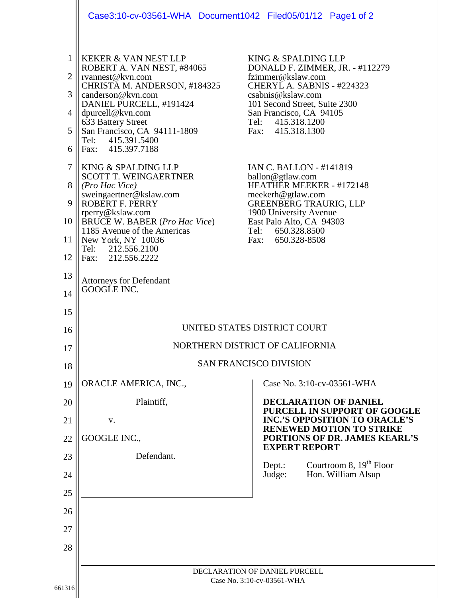|                                                                                     | Case3:10-cv-03561-WHA Document1042 Filed05/01/12 Page1 of 2                                                                                                                                                                                                                                                                                                                                                                                                                                                                                                             |                                                                                                                                                                                                                                                                                                                                                                                                                                                                          |
|-------------------------------------------------------------------------------------|-------------------------------------------------------------------------------------------------------------------------------------------------------------------------------------------------------------------------------------------------------------------------------------------------------------------------------------------------------------------------------------------------------------------------------------------------------------------------------------------------------------------------------------------------------------------------|--------------------------------------------------------------------------------------------------------------------------------------------------------------------------------------------------------------------------------------------------------------------------------------------------------------------------------------------------------------------------------------------------------------------------------------------------------------------------|
| $\mathbf{1}$<br>$\overline{2}$<br>3<br>4<br>5<br>6<br>7<br>8<br>9<br>10<br>11<br>12 | <b>KEKER &amp; VAN NEST LLP</b><br>ROBERT A. VAN NEST, #84065<br>rvannest@kvn.com<br>CHRISTA M. ANDERSON, #184325<br>canderson@kvn.com<br>DANIEL PURCELL, #191424<br>dpurcell@kvn.com<br>633 Battery Street<br>San Francisco, CA 94111-1809<br>Tel: 415.391.5400<br>Fax: 415.397.7188<br>KING & SPALDING LLP<br><b>SCOTT T. WEINGAERTNER</b><br>(Pro Hac Vice)<br>sweingaertner@kslaw.com<br>ROBERT F. PERRY<br>rperry@kslaw.com<br><b>BRUCE W. BABER (Pro Hac Vice)</b><br>1185 Avenue of the Americas<br>New York, NY 10036<br>Tel: 212.556.2100<br>Fax: 212.556.2222 | KING & SPALDING LLP<br>DONALD F. ZIMMER, JR. - #112279<br>fzimmer@kslaw.com<br>CHERYL A. SABNIS - #224323<br>csabnis@kslaw.com<br>101 Second Street, Suite 2300<br>San Francisco, CA 94105<br>Tel: 415.318.1200<br>Fax: 415.318.1300<br>IAN C. BALLON - #141819<br>ballon@gtlaw.com<br>HEATHER MEEKER - #172148<br>meekerh@gtlaw.com<br><b>GREENBERG TRAURIG, LLP</b><br>1900 University Avenue<br>East Palo Alto, CA 94303<br>Tel: 650.328.8500<br>650.328-8508<br>Fax: |
| 13<br>14                                                                            | <b>Attorneys for Defendant</b><br>GOOGLE INC.                                                                                                                                                                                                                                                                                                                                                                                                                                                                                                                           |                                                                                                                                                                                                                                                                                                                                                                                                                                                                          |
| 15<br>16                                                                            | UNITED STATES DISTRICT COURT                                                                                                                                                                                                                                                                                                                                                                                                                                                                                                                                            |                                                                                                                                                                                                                                                                                                                                                                                                                                                                          |
| 17                                                                                  | NORTHERN DISTRICT OF CALIFORNIA<br><b>SAN FRANCISCO DIVISION</b>                                                                                                                                                                                                                                                                                                                                                                                                                                                                                                        |                                                                                                                                                                                                                                                                                                                                                                                                                                                                          |
| 18                                                                                  |                                                                                                                                                                                                                                                                                                                                                                                                                                                                                                                                                                         |                                                                                                                                                                                                                                                                                                                                                                                                                                                                          |
| 19                                                                                  | ORACLE AMERICA, INC.,                                                                                                                                                                                                                                                                                                                                                                                                                                                                                                                                                   | Case No. 3:10-cv-03561-WHA                                                                                                                                                                                                                                                                                                                                                                                                                                               |
| 20                                                                                  | Plaintiff,                                                                                                                                                                                                                                                                                                                                                                                                                                                                                                                                                              | <b>DECLARATION OF DANIEL</b><br>PURCELL IN SUPPORT OF GOOGLE<br><b>INC.'S OPPOSITION TO ORACLE'S</b>                                                                                                                                                                                                                                                                                                                                                                     |
| 21                                                                                  | V.<br>GOOGLE INC.,                                                                                                                                                                                                                                                                                                                                                                                                                                                                                                                                                      | <b>RENEWED MOTION TO STRIKE</b><br>PORTIONS OF DR. JAMES KEARL'S                                                                                                                                                                                                                                                                                                                                                                                                         |
| 22<br>23                                                                            | Defendant.                                                                                                                                                                                                                                                                                                                                                                                                                                                                                                                                                              | <b>EXPERT REPORT</b>                                                                                                                                                                                                                                                                                                                                                                                                                                                     |
| 24                                                                                  |                                                                                                                                                                                                                                                                                                                                                                                                                                                                                                                                                                         | Courtroom 8, $19th$ Floor<br>Depth:<br>Hon. William Alsup<br>Judge:                                                                                                                                                                                                                                                                                                                                                                                                      |
| 25                                                                                  |                                                                                                                                                                                                                                                                                                                                                                                                                                                                                                                                                                         |                                                                                                                                                                                                                                                                                                                                                                                                                                                                          |
| 26                                                                                  |                                                                                                                                                                                                                                                                                                                                                                                                                                                                                                                                                                         |                                                                                                                                                                                                                                                                                                                                                                                                                                                                          |
| 27                                                                                  |                                                                                                                                                                                                                                                                                                                                                                                                                                                                                                                                                                         |                                                                                                                                                                                                                                                                                                                                                                                                                                                                          |
| 28                                                                                  |                                                                                                                                                                                                                                                                                                                                                                                                                                                                                                                                                                         |                                                                                                                                                                                                                                                                                                                                                                                                                                                                          |
|                                                                                     |                                                                                                                                                                                                                                                                                                                                                                                                                                                                                                                                                                         |                                                                                                                                                                                                                                                                                                                                                                                                                                                                          |
|                                                                                     | DECLARATION OF DANIEL PURCELL<br>Case No. 3:10-cv-03561-WHA                                                                                                                                                                                                                                                                                                                                                                                                                                                                                                             |                                                                                                                                                                                                                                                                                                                                                                                                                                                                          |